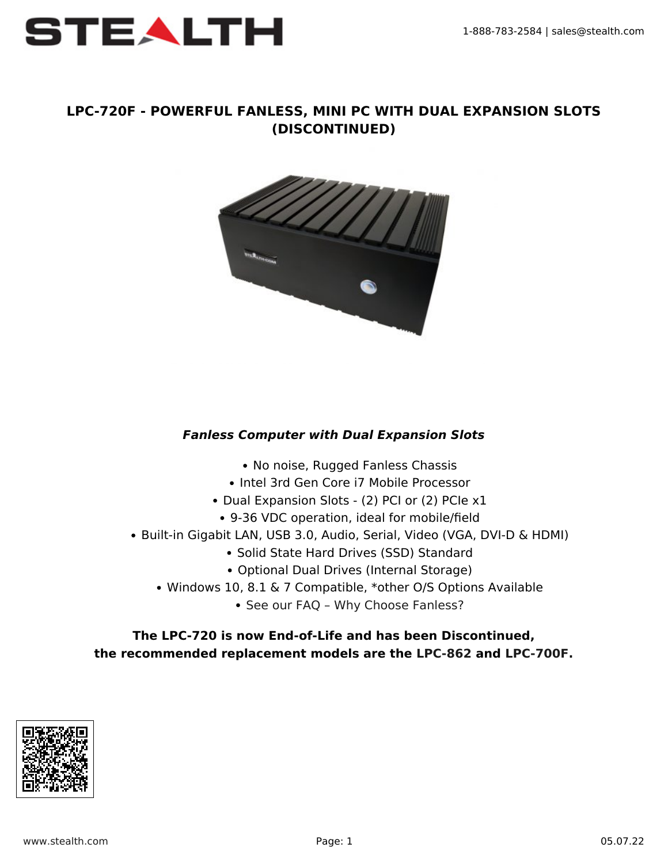

### **LPC-720F - POWERFUL FANLESS, MINI PC WITH DUAL EXPANSION SLOTS (DISCONTINUED)**



# *Fanless Computer with Dual Expansion Slots*

- No noise, Rugged Fanless Chassis
- Intel 3rd Gen Core i7 Mobile Processor
- Dual Expansion Slots (2) PCI or (2) PCIe x1
- 9-36 VDC operation, ideal for mobile/field
- Built-in Gigabit LAN, USB 3.0, Audio, Serial, Video (VGA, DVI-D & HDMI)
	- Solid State Hard Drives (SSD) Standard
	- Optional Dual Drives (Internal Storage)
	- Windows 10, 8.1 & 7 Compatible, \*other O/S Options Available
		- See our FAQ Why Choose Fanless?

### **The LPC-720 is now End-of-Life and has been Discontinued, the recommended replacement models are the [LPC-862](https://www.spartonre.com/littlepcs/rugged-fanless/lpc-862-rugged-fanless-mini-pc-dual-removable-drives-expansion-slots/) and [LPC-700F](https://www.spartonre.com/littlepcs/expansion-slot-mini-pcs/lpc-700f-high-performance-fanless-mini-pc-with-expansion-slot/).**

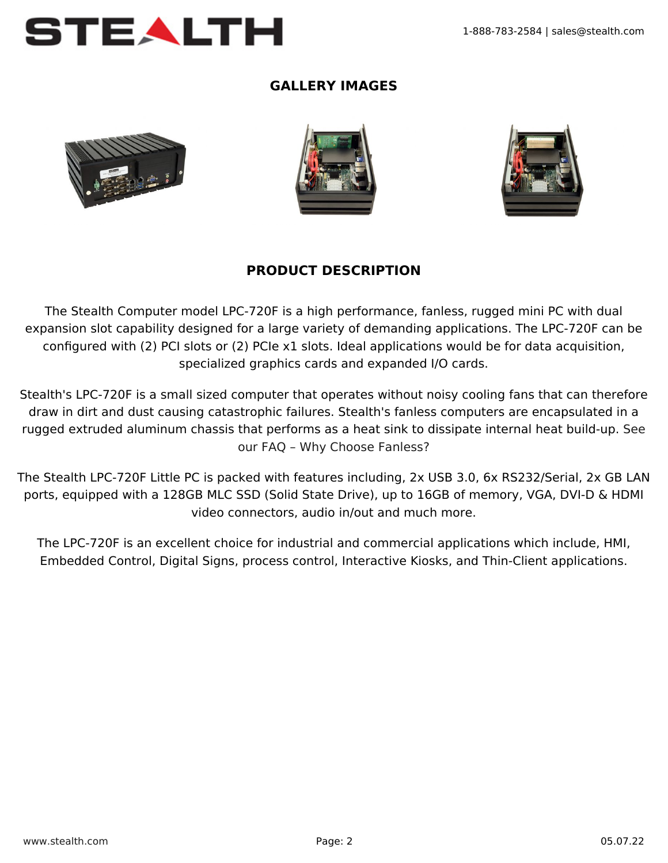

## **GALLERY IMAGES**







### **PRODUCT DESCRIPTION**

The Stealth Computer model LPC-720F is a high performance, fanless, rugged mini PC with dual expansion slot capability designed for a large variety of demanding applications. The LPC-720F can be configured with (2) PCI slots or (2) PCIe x1 slots. Ideal applications would be for data acquisition, specialized graphics cards and expanded I/O cards.

Stealth's LPC-720F is a small sized computer that operates without noisy cooling fans that can therefore draw in dirt and dust causing catastrophic failures. Stealth's fanless computers are encapsulated in a rugged extruded aluminum chassis that performs as a heat sink to dissipate internal heat build-up. [See](https://www.stealth.com/faqs/how-will-fanless-computers-benefit-you/) [our FAQ – Why Choose Fanless?](https://www.stealth.com/faqs/how-will-fanless-computers-benefit-you/)

The Stealth LPC-720F Little PC is packed with features including, 2x USB 3.0, 6x RS232/Serial, 2x GB LAN ports, equipped with a 128GB MLC SSD (Solid State Drive), up to 16GB of memory, VGA, DVI-D & HDMI video connectors, audio in/out and much more.

The LPC-720F is an excellent choice for industrial and commercial applications which include, HMI, Embedded Control, Digital Signs, process control, Interactive Kiosks, and Thin-Client applications.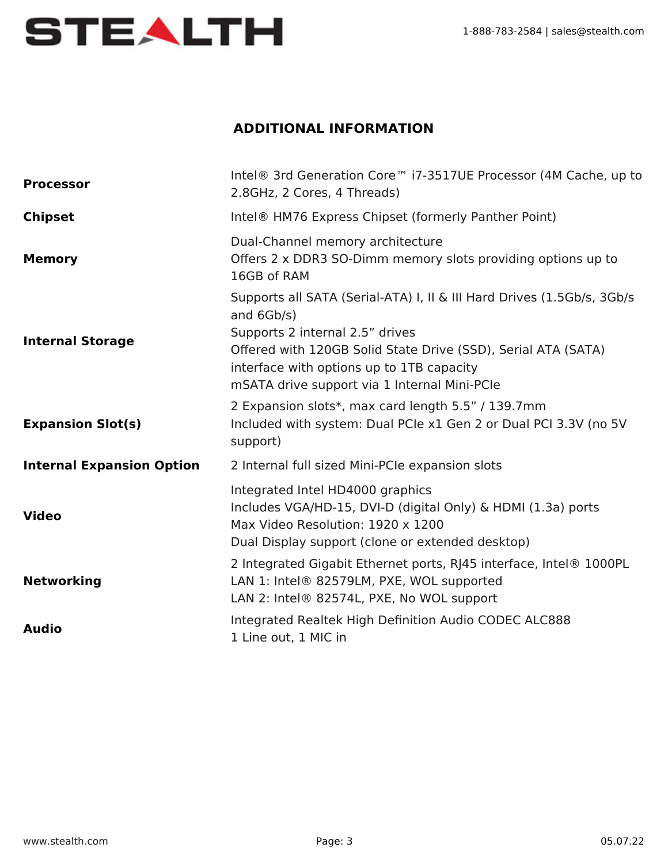

# **ADDITIONAL INFORMATION**

| <b>Processor</b>                 | Intel® 3rd Generation Core <sup>™</sup> i7-3517UE Processor (4M Cache, up to<br>2.8GHz, 2 Cores, 4 Threads)                                                                                                                                                                           |
|----------------------------------|---------------------------------------------------------------------------------------------------------------------------------------------------------------------------------------------------------------------------------------------------------------------------------------|
| <b>Chipset</b>                   | Intel <sup>®</sup> HM76 Express Chipset (formerly Panther Point)                                                                                                                                                                                                                      |
| <b>Memory</b>                    | Dual-Channel memory architecture<br>Offers 2 x DDR3 SO-Dimm memory slots providing options up to<br>16GB of RAM                                                                                                                                                                       |
| <b>Internal Storage</b>          | Supports all SATA (Serial-ATA) I, II & III Hard Drives (1.5Gb/s, 3Gb/s<br>and 6Gb/s)<br>Supports 2 internal 2.5" drives<br>Offered with 120GB Solid State Drive (SSD), Serial ATA (SATA)<br>interface with options up to 1TB capacity<br>mSATA drive support via 1 Internal Mini-PCIe |
| <b>Expansion Slot(s)</b>         | 2 Expansion slots*, max card length 5.5" / 139.7mm<br>Included with system: Dual PCIe x1 Gen 2 or Dual PCI 3.3V (no 5V<br>support)                                                                                                                                                    |
| <b>Internal Expansion Option</b> | 2 Internal full sized Mini-PCIe expansion slots                                                                                                                                                                                                                                       |
| <b>Video</b>                     | Integrated Intel HD4000 graphics<br>Includes VGA/HD-15, DVI-D (digital Only) & HDMI (1.3a) ports<br>Max Video Resolution: 1920 x 1200<br>Dual Display support (clone or extended desktop)                                                                                             |
| <b>Networking</b>                | 2 Integrated Gigabit Ethernet ports, RJ45 interface, Intel® 1000PL<br>LAN 1: Intel® 82579LM, PXE, WOL supported<br>LAN 2: Intel® 82574L, PXE, No WOL support                                                                                                                          |
| <b>Audio</b>                     | Integrated Realtek High Definition Audio CODEC ALC888<br>1 Line out, 1 MIC in                                                                                                                                                                                                         |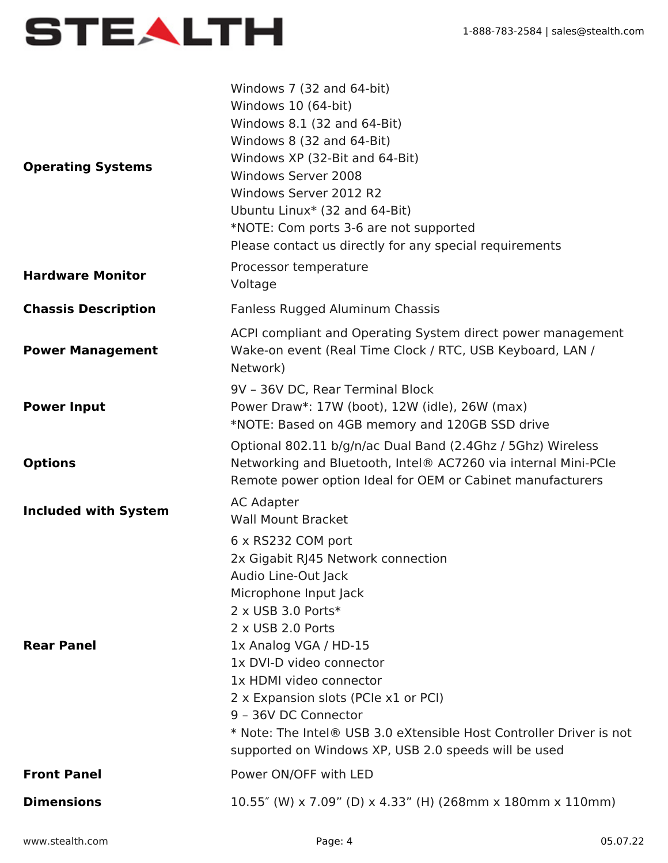

| <b>Operating Systems</b>    | Windows 7 (32 and 64-bit)<br>Windows 10 (64-bit)<br>Windows 8.1 (32 and 64-Bit)<br>Windows 8 (32 and 64-Bit)<br>Windows XP (32-Bit and 64-Bit)<br>Windows Server 2008<br>Windows Server 2012 R2<br>Ubuntu Linux* (32 and 64-Bit)<br>*NOTE: Com ports 3-6 are not supported<br>Please contact us directly for any special requirements                                                                                              |
|-----------------------------|------------------------------------------------------------------------------------------------------------------------------------------------------------------------------------------------------------------------------------------------------------------------------------------------------------------------------------------------------------------------------------------------------------------------------------|
| <b>Hardware Monitor</b>     | Processor temperature<br>Voltage                                                                                                                                                                                                                                                                                                                                                                                                   |
| <b>Chassis Description</b>  | Fanless Rugged Aluminum Chassis                                                                                                                                                                                                                                                                                                                                                                                                    |
| <b>Power Management</b>     | ACPI compliant and Operating System direct power management<br>Wake-on event (Real Time Clock / RTC, USB Keyboard, LAN /<br>Network)                                                                                                                                                                                                                                                                                               |
| <b>Power Input</b>          | 9V - 36V DC, Rear Terminal Block<br>Power Draw*: 17W (boot), 12W (idle), 26W (max)<br>*NOTE: Based on 4GB memory and 120GB SSD drive                                                                                                                                                                                                                                                                                               |
| <b>Options</b>              | Optional 802.11 b/g/n/ac Dual Band (2.4Ghz / 5Ghz) Wireless<br>Networking and Bluetooth, Intel® AC7260 via internal Mini-PCIe<br>Remote power option Ideal for OEM or Cabinet manufacturers                                                                                                                                                                                                                                        |
| <b>Included with System</b> | <b>AC Adapter</b><br><b>Wall Mount Bracket</b>                                                                                                                                                                                                                                                                                                                                                                                     |
| <b>Rear Panel</b>           | 6 x RS232 COM port<br>2x Gigabit RJ45 Network connection<br>Audio Line-Out Jack<br>Microphone Input Jack<br>2 x USB 3.0 Ports*<br>2 x USB 2.0 Ports<br>1x Analog VGA / HD-15<br>1x DVI-D video connector<br>1x HDMI video connector<br>2 x Expansion slots (PCIe x1 or PCI)<br>9 - 36V DC Connector<br>* Note: The Intel® USB 3.0 eXtensible Host Controller Driver is not<br>supported on Windows XP, USB 2.0 speeds will be used |
| <b>Front Panel</b>          | Power ON/OFF with LED                                                                                                                                                                                                                                                                                                                                                                                                              |
| <b>Dimensions</b>           | 10.55" (W) x 7.09" (D) x 4.33" (H) (268mm x 180mm x 110mm)                                                                                                                                                                                                                                                                                                                                                                         |